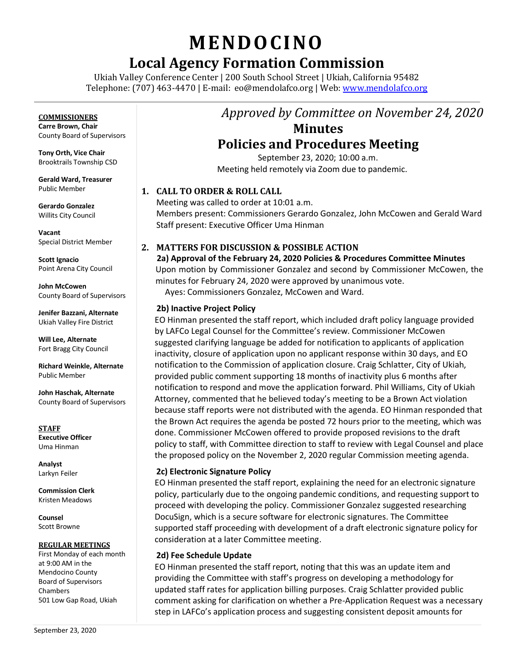# **MENDO CINO**

## **Local Agency Formation Commission**

Ukiah Valley Conference Center | 200 South School Street | Ukiah, California 95482 Telephone: (707) 463-4470 | E-mail: [eo@mendolafco.org](mailto:eo@mendolafco.org) | Web[: www.mendolafco.org](http://www.mendolafco.org/)

#### **COMMISSIONERS**

**Carre Brown, Chair** County Board of Supervisors

**Tony Orth, Vice Chair** Brooktrails Township CSD

**Gerald Ward, Treasurer** Public Member

**Gerardo Gonzalez** Willits City Council

**Vacant** Special District Member

**Scott Ignacio** Point Arena City Council

**John McCowen** County Board of Supervisors

**Jenifer Bazzani, Alternate** Ukiah Valley Fire District

**Will Lee, Alternate** Fort Bragg City Council

**Richard Weinkle, Alternate** Public Member

**John Haschak, Alternate** County Board of Supervisors

**STAFF Executive Officer** Uma Hinman

**Analyst** Larkyn Feiler

**Commission Clerk** Kristen Meadows

**Counsel** Scott Browne

#### **REGULAR MEETINGS**

First Monday of each month at 9:00 AM in the Mendocino County Board of Supervisors Chambers 501 Low Gap Road, Ukiah

# *Approved by Committee on November 24, 2020* **Minutes**

### **Policies and Procedures Meeting**

September 23, 2020; 10:00 a.m. Meeting held remotely via Zoom due to pandemic.

#### **1. CALL TO ORDER & ROLL CALL**

Meeting was called to order at 10:01 a.m. Members present: Commissioners Gerardo Gonzalez, John McCowen and Gerald Ward Staff present: Executive Officer Uma Hinman

#### **2. MATTERS FOR DISCUSSION & POSSIBLE ACTION**

**2a) Approval of the February 24, 2020 Policies & Procedures Committee Minutes** Upon motion by Commissioner Gonzalez and second by Commissioner McCowen, the minutes for February 24, 2020 were approved by unanimous vote. Ayes: Commissioners Gonzalez, McCowen and Ward.

#### **2b) Inactive Project Policy**

EO Hinman presented the staff report, which included draft policy language provided by LAFCo Legal Counsel for the Committee's review. Commissioner McCowen suggested clarifying language be added for notification to applicants of application inactivity, closure of application upon no applicant response within 30 days, and EO notification to the Commission of application closure. Craig Schlatter, City of Ukiah, provided public comment supporting 18 months of inactivity plus 6 months after notification to respond and move the application forward. Phil Williams, City of Ukiah Attorney, commented that he believed today's meeting to be a Brown Act violation because staff reports were not distributed with the agenda. EO Hinman responded that the Brown Act requires the agenda be posted 72 hours prior to the meeting, which was done. Commissioner McCowen offered to provide proposed revisions to the draft policy to staff, with Committee direction to staff to review with Legal Counsel and place the proposed policy on the November 2, 2020 regular Commission meeting agenda.

#### **2c) Electronic Signature Policy**

EO Hinman presented the staff report, explaining the need for an electronic signature policy, particularly due to the ongoing pandemic conditions, and requesting support to proceed with developing the policy. Commissioner Gonzalez suggested researching DocuSign, which is a secure software for electronic signatures. The Committee supported staff proceeding with development of a draft electronic signature policy for consideration at a later Committee meeting.

#### **2d) Fee Schedule Update**

EO Hinman presented the staff report, noting that this was an update item and providing the Committee with staff's progress on developing a methodology for updated staff rates for application billing purposes. Craig Schlatter provided public comment asking for clarification on whether a Pre-Application Request was a necessary step in LAFCo's application process and suggesting consistent deposit amounts for